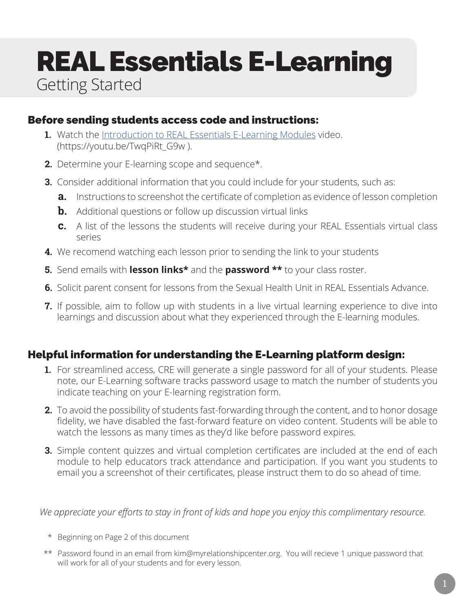## REAL Essentials E-Learning Getting Started

#### Before sending students access code and instructions:

- **1.** Watch the Introduction to REAL Essentials E-Learning Modules video. (https://youtu.be/TwqPiRt\_G9w ).
- **2.** Determine your E-learning scope and sequence\*.
- **3.** Consider additional information that you could include for your students, such as:
	- **a.** Instructions to screenshot the certificate of completion as evidence of lesson completion
	- **b.** Additional questions or follow up discussion virtual links
	- **c.** A list of the lessons the students will receive during your REAL Essentials virtual class series
- **4.** We recomend watching each lesson prior to sending the link to your students
- **5.** Send emails with **lesson links\*** and the **password \*\*** to your class roster.
- **6.** Solicit parent consent for lessons from the Sexual Health Unit in REAL Essentials Advance.
- **7.** If possible, aim to follow up with students in a live virtual learning experience to dive into learnings and discussion about what they experienced through the E-learning modules.

#### Helpful information for understanding the E-Learning platform design:

- **1.** For streamlined access, CRE will generate a single password for all of your students. Please note, our E-Learning software tracks password usage to match the number of students you indicate teaching on your E-learning registration form.
- **2.** To avoid the possibility of students fast-forwarding through the content, and to honor dosage fidelity, we have disabled the fast-forward feature on video content. Students will be able to watch the lessons as many times as they'd like before password expires.
- **3.** Simple content quizzes and virtual completion certificates are included at the end of each module to help educators track attendance and participation. If you want you students to email you a screenshot of their certificates, please instruct them to do so ahead of time.

*We appreciate your efforts to stay in front of kids and hope you enjoy this complimentary resource.*

- \* Beginning on Page 2 of this document
- \*\* Password found in an email from kim@myrelationshipcenter.org. You will recieve 1 unique password that will work for all of your students and for every lesson.